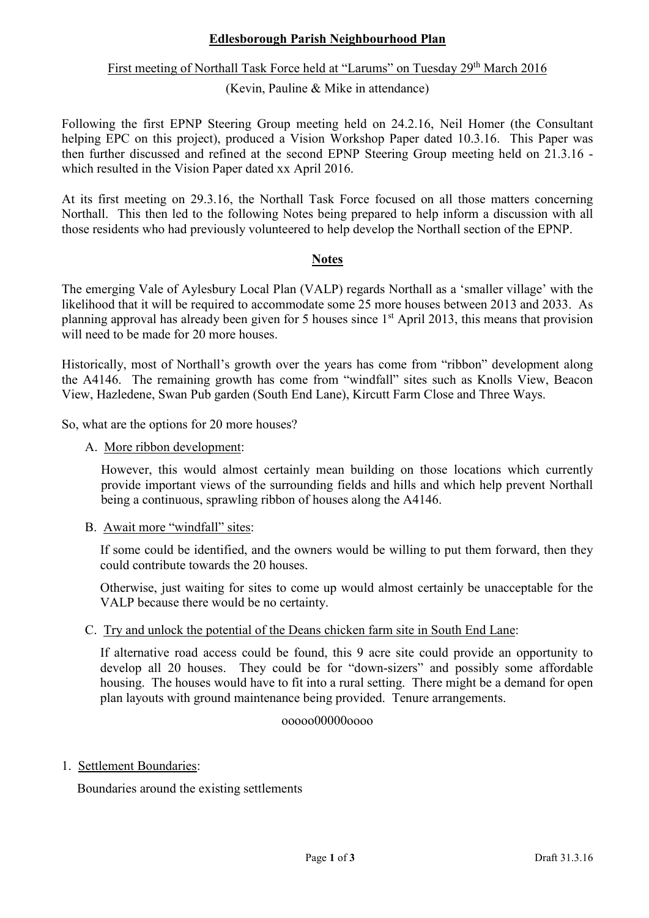# **Edlesborough Parish Neighbourhood Plan**

# First meeting of Northall Task Force held at "Larums" on Tuesday 29<sup>th</sup> March 2016

### (Kevin, Pauline & Mike in attendance)

Following the first EPNP Steering Group meeting held on 24.2.16, Neil Homer (the Consultant helping EPC on this project), produced a Vision Workshop Paper dated 10.3.16. This Paper was then further discussed and refined at the second EPNP Steering Group meeting held on 21.3.16 which resulted in the Vision Paper dated xx April 2016.

At its first meeting on 29.3.16, the Northall Task Force focused on all those matters concerning Northall. This then led to the following Notes being prepared to help inform a discussion with all those residents who had previously volunteered to help develop the Northall section of the EPNP.

### **Notes**

The emerging Vale of Aylesbury Local Plan (VALP) regards Northall as a 'smaller village' with the likelihood that it will be required to accommodate some 25 more houses between 2013 and 2033. As planning approval has already been given for 5 houses since 1st April 2013, this means that provision will need to be made for 20 more houses.

Historically, most of Northall's growth over the years has come from "ribbon" development along the A4146. The remaining growth has come from "windfall" sites such as Knolls View, Beacon View, Hazledene, Swan Pub garden (South End Lane), Kircutt Farm Close and Three Ways.

So, what are the options for 20 more houses?

A. More ribbon development:

However, this would almost certainly mean building on those locations which currently provide important views of the surrounding fields and hills and which help prevent Northall being a continuous, sprawling ribbon of houses along the A4146.

B. Await more "windfall" sites:

 If some could be identified, and the owners would be willing to put them forward, then they could contribute towards the 20 houses.

 Otherwise, just waiting for sites to come up would almost certainly be unacceptable for the VALP because there would be no certainty.

C. Try and unlock the potential of the Deans chicken farm site in South End Lane:

 If alternative road access could be found, this 9 acre site could provide an opportunity to develop all 20 houses. They could be for "down-sizers" and possibly some affordable housing. The houses would have to fit into a rural setting. There might be a demand for open plan layouts with ground maintenance being provided. Tenure arrangements.

#### ooooo00000oooo

#### 1. Settlement Boundaries:

Boundaries around the existing settlements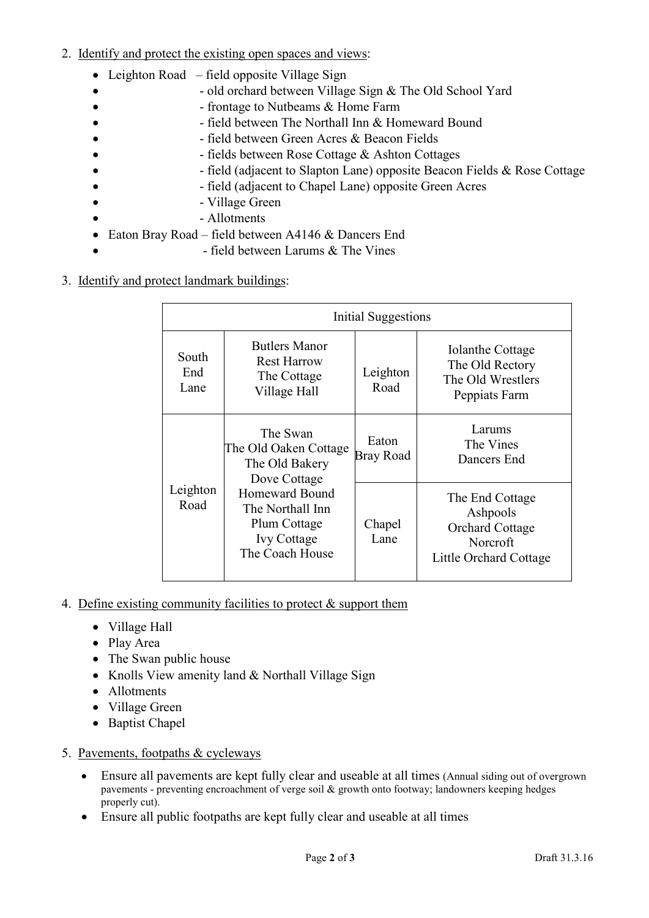- 2. Identify and protect the existing open spaces and views:
	- Leighton Road field opposite Village Sign
	- $\bullet$  old orchard between Village Sign & The Old School Yard
	- **• •** frontage to Nutbeams & Home Farm
		- - field between The Northall Inn & Homeward Bound
	- - field between Green Acres & Beacon Fields
	- - fields between Rose Cottage & Ashton Cottages
		- - field (adjacent to Slapton Lane) opposite Beacon Fields & Rose Cottage
			- - field (adjacent to Chapel Lane) opposite Green Acres
		- - Village Green
	- Allotments
	- Eaton Bray Road field between A4146 & Dancers End
		- - field between Larums & The Vines

# 3. Identify and protect landmark buildings:

| Initial Suggestions  |                                                                                                                                                                           |                    |                                                                                             |
|----------------------|---------------------------------------------------------------------------------------------------------------------------------------------------------------------------|--------------------|---------------------------------------------------------------------------------------------|
| South<br>End<br>Lane | <b>Butlers Manor</b><br><b>Rest Harrow</b><br>The Cottage<br>Village Hall                                                                                                 | Leighton<br>Road   | Iolanthe Cottage<br>The Old Rectory<br>The Old Wrestlers<br>Peppiats Farm                   |
| Leighton<br>Road     | The Swan<br>The Old Oaken Cottage<br>The Old Bakery<br>Dove Cottage<br><b>Homeward Bound</b><br>The Northall Inn<br>Plum Cottage<br><b>Ivy Cottage</b><br>The Coach House | Eaton<br>Bray Road | Larums<br>The Vines<br>Dancers End                                                          |
|                      |                                                                                                                                                                           | Chapel<br>Lane     | The End Cottage<br>Ashpools<br><b>Orchard Cottage</b><br>Norcroft<br>Little Orchard Cottage |

- 4. Define existing community facilities to protect & support them
	- Village Hall
	- Play Area
	- The Swan public house
	- Knolls View amenity land & Northall Village Sign
	- Allotments
	- Village Green
	- Baptist Chapel
- 5. Pavements, footpaths & cycleways
	- Ensure all pavements are kept fully clear and useable at all times (Annual siding out of overgrown pavements - preventing encroachment of verge soil & growth onto footway; landowners keeping hedges properly cut).
	- Ensure all public footpaths are kept fully clear and useable at all times